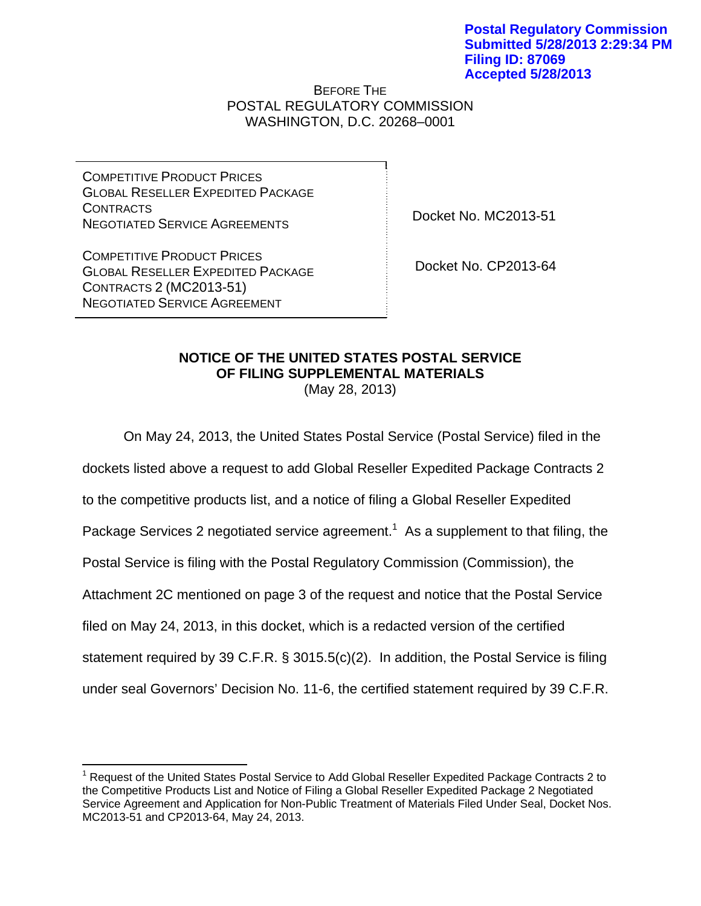## BEFORE THE POSTAL REGULATORY COMMISSION WASHINGTON, D.C. 20268–0001

COMPETITIVE PRODUCT PRICES GLOBAL RESELLER EXPEDITED PACKAGE CONTRACTS NEGOTIATED SERVICE AGREEMENTS

Docket No. MC2013-51

COMPETITIVE PRODUCT PRICES GLOBAL RESELLER EXPEDITED PACKAGE CONTRACTS 2 (MC2013-51) NEGOTIATED SERVICE AGREEMENT

 $\overline{a}$ 

Docket No. CP2013-64

## **NOTICE OF THE UNITED STATES POSTAL SERVICE OF FILING SUPPLEMENTAL MATERIALS**

(May 28, 2013)

 On May 24, 2013, the United States Postal Service (Postal Service) filed in the dockets listed above a request to add Global Reseller Expedited Package Contracts 2 to the competitive products list, and a notice of filing a Global Reseller Expedited Package Services 2 negotiated service agreement.<sup>1</sup> As a supplement to that filing, the Postal Service is filing with the Postal Regulatory Commission (Commission), the Attachment 2C mentioned on page 3 of the request and notice that the Postal Service filed on May 24, 2013, in this docket, which is a redacted version of the certified statement required by 39 C.F.R. § 3015.5(c)(2). In addition, the Postal Service is filing under seal Governors' Decision No. 11-6, the certified statement required by 39 C.F.R.

<sup>&</sup>lt;sup>1</sup> Request of the United States Postal Service to Add Global Reseller Expedited Package Contracts 2 to the Competitive Products List and Notice of Filing a Global Reseller Expedited Package 2 Negotiated Service Agreement and Application for Non-Public Treatment of Materials Filed Under Seal, Docket Nos. MC2013-51 and CP2013-64, May 24, 2013.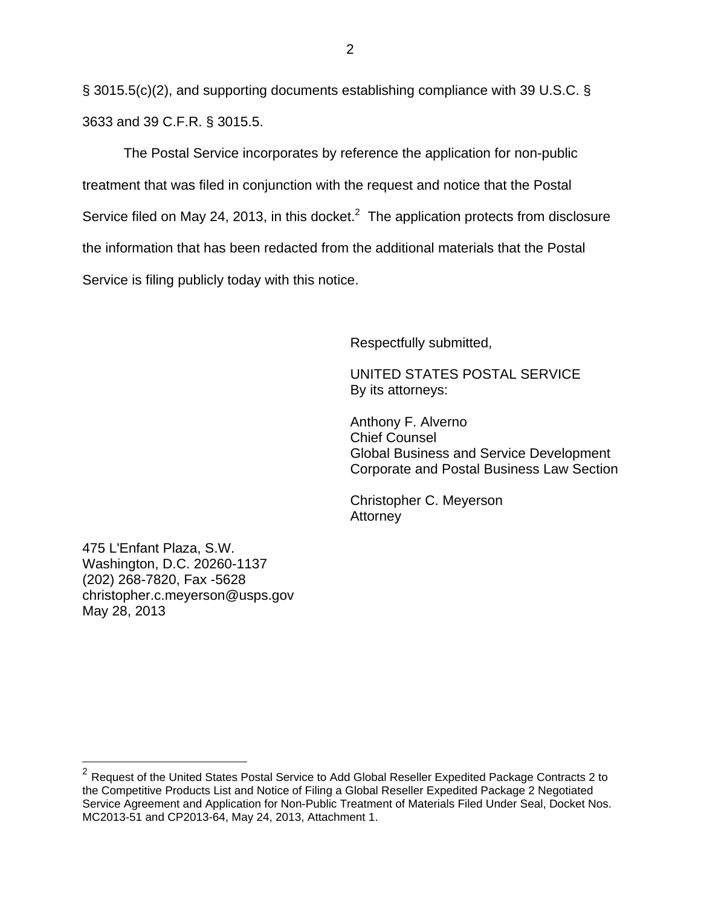§ 3015.5(c)(2), and supporting documents establishing compliance with 39 U.S.C. § 3633 and 39 C.F.R. § 3015.5.

 The Postal Service incorporates by reference the application for non-public treatment that was filed in conjunction with the request and notice that the Postal Service filed on May 24, 2013, in this docket.<sup>2</sup> The application protects from disclosure the information that has been redacted from the additional materials that the Postal Service is filing publicly today with this notice.

Respectfully submitted,

 UNITED STATES POSTAL SERVICE By its attorneys:

 Anthony F. Alverno Chief Counsel Global Business and Service Development Corporate and Postal Business Law Section

 Christopher C. Meyerson **Attorney** 

475 L'Enfant Plaza, S.W. Washington, D.C. 20260-1137 (202) 268-7820, Fax -5628 christopher.c.meyerson@usps.gov May 28, 2013

<u>.</u>

 $^2$  Request of the United States Postal Service to Add Global Reseller Expedited Package Contracts 2 to the Competitive Products List and Notice of Filing a Global Reseller Expedited Package 2 Negotiated Service Agreement and Application for Non-Public Treatment of Materials Filed Under Seal, Docket Nos. MC2013-51 and CP2013-64, May 24, 2013, Attachment 1.